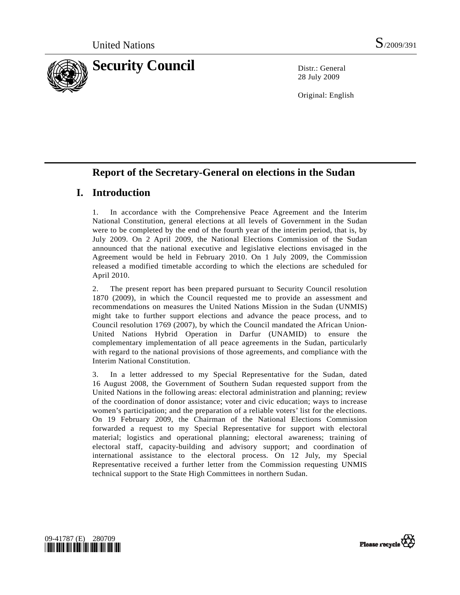

28 July 2009

Original: English

# **Report of the Secretary-General on elections in the Sudan**

## **I. Introduction**

1. In accordance with the Comprehensive Peace Agreement and the Interim National Constitution, general elections at all levels of Government in the Sudan were to be completed by the end of the fourth year of the interim period, that is, by July 2009. On 2 April 2009, the National Elections Commission of the Sudan announced that the national executive and legislative elections envisaged in the Agreement would be held in February 2010. On 1 July 2009, the Commission released a modified timetable according to which the elections are scheduled for April 2010.

2. The present report has been prepared pursuant to Security Council resolution 1870 (2009), in which the Council requested me to provide an assessment and recommendations on measures the United Nations Mission in the Sudan (UNMIS) might take to further support elections and advance the peace process, and to Council resolution 1769 (2007), by which the Council mandated the African Union-United Nations Hybrid Operation in Darfur (UNAMID) to ensure the complementary implementation of all peace agreements in the Sudan, particularly with regard to the national provisions of those agreements, and compliance with the Interim National Constitution.

3. In a letter addressed to my Special Representative for the Sudan, dated 16 August 2008, the Government of Southern Sudan requested support from the United Nations in the following areas: electoral administration and planning; review of the coordination of donor assistance; voter and civic education; ways to increase women's participation; and the preparation of a reliable voters' list for the elections. On 19 February 2009, the Chairman of the National Elections Commission forwarded a request to my Special Representative for support with electoral material; logistics and operational planning; electoral awareness; training of electoral staff, capacity-building and advisory support; and coordination of international assistance to the electoral process. On 12 July, my Special Representative received a further letter from the Commission requesting UNMIS technical support to the State High Committees in northern Sudan.



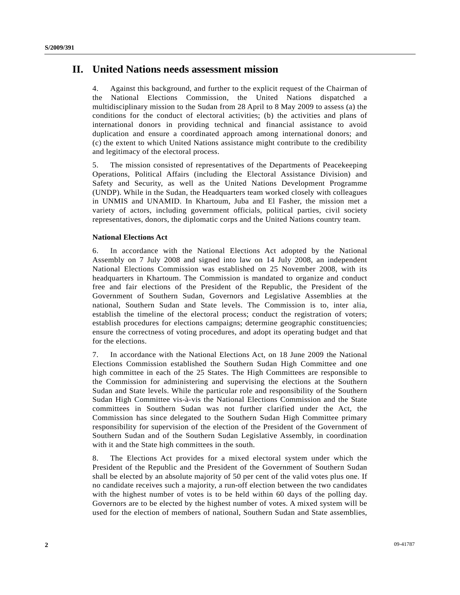## **II. United Nations needs assessment mission**

4. Against this background, and further to the explicit request of the Chairman of the National Elections Commission, the United Nations dispatched a multidisciplinary mission to the Sudan from 28 April to 8 May 2009 to assess (a) the conditions for the conduct of electoral activities; (b) the activities and plans of international donors in providing technical and financial assistance to avoid duplication and ensure a coordinated approach among international donors; and (c) the extent to which United Nations assistance might contribute to the credibility and legitimacy of the electoral process.

5. The mission consisted of representatives of the Departments of Peacekeeping Operations, Political Affairs (including the Electoral Assistance Division) and Safety and Security, as well as the United Nations Development Programme (UNDP). While in the Sudan, the Headquarters team worked closely with colleagues in UNMIS and UNAMID. In Khartoum, Juba and El Fasher, the mission met a variety of actors, including government officials, political parties, civil society representatives, donors, the diplomatic corps and the United Nations country team.

### **National Elections Act**

6. In accordance with the National Elections Act adopted by the National Assembly on 7 July 2008 and signed into law on 14 July 2008, an independent National Elections Commission was established on 25 November 2008, with its headquarters in Khartoum. The Commission is mandated to organize and conduct free and fair elections of the President of the Republic, the President of the Government of Southern Sudan, Governors and Legislative Assemblies at the national, Southern Sudan and State levels. The Commission is to, inter alia, establish the timeline of the electoral process; conduct the registration of voters; establish procedures for elections campaigns; determine geographic constituencies; ensure the correctness of voting procedures, and adopt its operating budget and that for the elections.

7. In accordance with the National Elections Act, on 18 June 2009 the National Elections Commission established the Southern Sudan High Committee and one high committee in each of the 25 States. The High Committees are responsible to the Commission for administering and supervising the elections at the Southern Sudan and State levels. While the particular role and responsibility of the Southern Sudan High Committee vis-à-vis the National Elections Commission and the State committees in Southern Sudan was not further clarified under the Act, the Commission has since delegated to the Southern Sudan High Committee primary responsibility for supervision of the election of the President of the Government of Southern Sudan and of the Southern Sudan Legislative Assembly, in coordination with it and the State high committees in the south.

8. The Elections Act provides for a mixed electoral system under which the President of the Republic and the President of the Government of Southern Sudan shall be elected by an absolute majority of 50 per cent of the valid votes plus one. If no candidate receives such a majority, a run-off election between the two candidates with the highest number of votes is to be held within 60 days of the polling day. Governors are to be elected by the highest number of votes. A mixed system will be used for the election of members of national, Southern Sudan and State assemblies,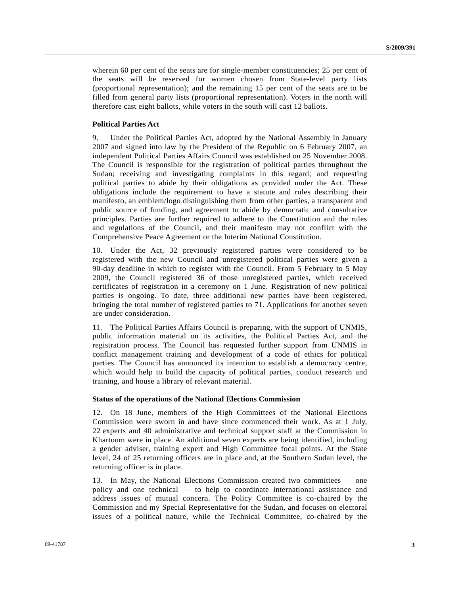wherein 60 per cent of the seats are for single-member constituencies; 25 per cent of the seats will be reserved for women chosen from State-level party lists (proportional representation); and the remaining 15 per cent of the seats are to be filled from general party lists (proportional representation). Voters in the north will therefore cast eight ballots, while voters in the south will cast 12 ballots.

#### **Political Parties Act**

9. Under the Political Parties Act, adopted by the National Assembly in January 2007 and signed into law by the President of the Republic on 6 February 2007, an independent Political Parties Affairs Council was established on 25 November 2008. The Council is responsible for the registration of political parties throughout the Sudan; receiving and investigating complaints in this regard; and requesting political parties to abide by their obligations as provided under the Act. These obligations include the requirement to have a statute and rules describing their manifesto, an emblem/logo distinguishing them from other parties, a transparent and public source of funding, and agreement to abide by democratic and consultative principles. Parties are further required to adhere to the Constitution and the rules and regulations of the Council, and their manifesto may not conflict with the Comprehensive Peace Agreement or the Interim National Constitution.

10. Under the Act, 32 previously registered parties were considered to be registered with the new Council and unregistered political parties were given a 90-day deadline in which to register with the Council. From 5 February to 5 May 2009, the Council registered 36 of those unregistered parties, which received certificates of registration in a ceremony on 1 June. Registration of new political parties is ongoing. To date, three additional new parties have been registered, bringing the total number of registered parties to 71. Applications for another seven are under consideration.

11. The Political Parties Affairs Council is preparing, with the support of UNMIS, public information material on its activities, the Political Parties Act, and the registration process. The Council has requested further support from UNMIS in conflict management training and development of a code of ethics for political parties. The Council has announced its intention to establish a democracy centre, which would help to build the capacity of political parties, conduct research and training, and house a library of relevant material.

#### **Status of the operations of the National Elections Commission**

12. On 18 June, members of the High Committees of the National Elections Commission were sworn in and have since commenced their work. As at 1 July, 22 experts and 40 administrative and technical support staff at the Commission in Khartoum were in place. An additional seven experts are being identified, including a gender adviser, training expert and High Committee focal points. At the State level, 24 of 25 returning officers are in place and, at the Southern Sudan level, the returning officer is in place.

13. In May, the National Elections Commission created two committees — one policy and one technical — to help to coordinate international assistance and address issues of mutual concern. The Policy Committee is co-chaired by the Commission and my Special Representative for the Sudan, and focuses on electoral issues of a political nature, while the Technical Committee, co-chaired by the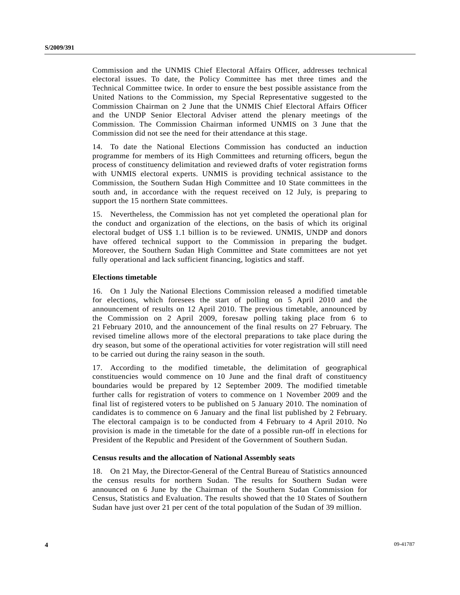Commission and the UNMIS Chief Electoral Affairs Officer, addresses technical electoral issues. To date, the Policy Committee has met three times and the Technical Committee twice. In order to ensure the best possible assistance from the United Nations to the Commission, my Special Representative suggested to the Commission Chairman on 2 June that the UNMIS Chief Electoral Affairs Officer and the UNDP Senior Electoral Adviser attend the plenary meetings of the Commission. The Commission Chairman informed UNMIS on 3 June that the Commission did not see the need for their attendance at this stage.

14. To date the National Elections Commission has conducted an induction programme for members of its High Committees and returning officers, begun the process of constituency delimitation and reviewed drafts of voter registration forms with UNMIS electoral experts. UNMIS is providing technical assistance to the Commission, the Southern Sudan High Committee and 10 State committees in the south and, in accordance with the request received on 12 July, is preparing to support the 15 northern State committees.

15. Nevertheless, the Commission has not yet completed the operational plan for the conduct and organization of the elections, on the basis of which its original electoral budget of US\$ 1.1 billion is to be reviewed. UNMIS, UNDP and donors have offered technical support to the Commission in preparing the budget. Moreover, the Southern Sudan High Committee and State committees are not yet fully operational and lack sufficient financing, logistics and staff.

#### **Elections timetable**

16. On 1 July the National Elections Commission released a modified timetable for elections, which foresees the start of polling on 5 April 2010 and the announcement of results on 12 April 2010. The previous timetable, announced by the Commission on 2 April 2009, foresaw polling taking place from 6 to 21 February 2010, and the announcement of the final results on 27 February. The revised timeline allows more of the electoral preparations to take place during the dry season, but some of the operational activities for voter registration will still need to be carried out during the rainy season in the south.

17. According to the modified timetable, the delimitation of geographical constituencies would commence on 10 June and the final draft of constituency boundaries would be prepared by 12 September 2009. The modified timetable further calls for registration of voters to commence on 1 November 2009 and the final list of registered voters to be published on 5 January 2010. The nomination of candidates is to commence on 6 January and the final list published by 2 February. The electoral campaign is to be conducted from 4 February to 4 April 2010. No provision is made in the timetable for the date of a possible run-off in elections for President of the Republic and President of the Government of Southern Sudan.

#### **Census results and the allocation of National Assembly seats**

18. On 21 May, the Director-General of the Central Bureau of Statistics announced the census results for northern Sudan. The results for Southern Sudan were announced on 6 June by the Chairman of the Southern Sudan Commission for Census, Statistics and Evaluation. The results showed that the 10 States of Southern Sudan have just over 21 per cent of the total population of the Sudan of 39 million.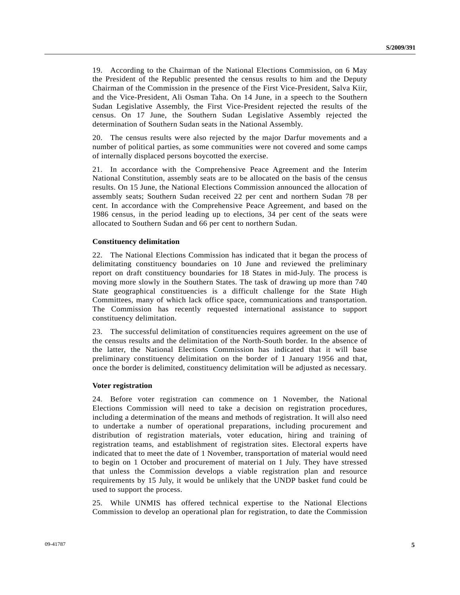19. According to the Chairman of the National Elections Commission, on 6 May the President of the Republic presented the census results to him and the Deputy Chairman of the Commission in the presence of the First Vice-President, Salva Kiir, and the Vice-President, Ali Osman Taha. On 14 June, in a speech to the Southern Sudan Legislative Assembly, the First Vice-President rejected the results of the census. On 17 June, the Southern Sudan Legislative Assembly rejected the determination of Southern Sudan seats in the National Assembly.

20. The census results were also rejected by the major Darfur movements and a number of political parties, as some communities were not covered and some camps of internally displaced persons boycotted the exercise.

21. In accordance with the Comprehensive Peace Agreement and the Interim National Constitution, assembly seats are to be allocated on the basis of the census results. On 15 June, the National Elections Commission announced the allocation of assembly seats; Southern Sudan received 22 per cent and northern Sudan 78 per cent. In accordance with the Comprehensive Peace Agreement, and based on the 1986 census, in the period leading up to elections, 34 per cent of the seats were allocated to Southern Sudan and 66 per cent to northern Sudan.

#### **Constituency delimitation**

22. The National Elections Commission has indicated that it began the process of delimitating constituency boundaries on 10 June and reviewed the preliminary report on draft constituency boundaries for 18 States in mid-July. The process is moving more slowly in the Southern States. The task of drawing up more than 740 State geographical constituencies is a difficult challenge for the State High Committees, many of which lack office space, communications and transportation. The Commission has recently requested international assistance to support constituency delimitation.

23. The successful delimitation of constituencies requires agreement on the use of the census results and the delimitation of the North-South border. In the absence of the latter, the National Elections Commission has indicated that it will base preliminary constituency delimitation on the border of 1 January 1956 and that, once the border is delimited, constituency delimitation will be adjusted as necessary.

#### **Voter registration**

24. Before voter registration can commence on 1 November, the National Elections Commission will need to take a decision on registration procedures, including a determination of the means and methods of registration. It will also need to undertake a number of operational preparations, including procurement and distribution of registration materials, voter education, hiring and training of registration teams, and establishment of registration sites. Electoral experts have indicated that to meet the date of 1 November, transportation of material would need to begin on 1 October and procurement of material on 1 July. They have stressed that unless the Commission develops a viable registration plan and resource requirements by 15 July, it would be unlikely that the UNDP basket fund could be used to support the process.

25. While UNMIS has offered technical expertise to the National Elections Commission to develop an operational plan for registration, to date the Commission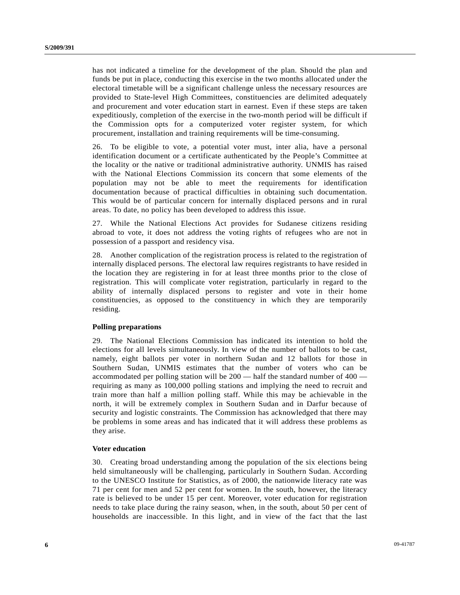has not indicated a timeline for the development of the plan. Should the plan and funds be put in place, conducting this exercise in the two months allocated under the electoral timetable will be a significant challenge unless the necessary resources are provided to State-level High Committees, constituencies are delimited adequately and procurement and voter education start in earnest. Even if these steps are taken expeditiously, completion of the exercise in the two-month period will be difficult if the Commission opts for a computerized voter register system, for which procurement, installation and training requirements will be time-consuming.

26. To be eligible to vote, a potential voter must, inter alia, have a personal identification document or a certificate authenticated by the People's Committee at the locality or the native or traditional administrative authority. UNMIS has raised with the National Elections Commission its concern that some elements of the population may not be able to meet the requirements for identification documentation because of practical difficulties in obtaining such documentation. This would be of particular concern for internally displaced persons and in rural areas. To date, no policy has been developed to address this issue.

27. While the National Elections Act provides for Sudanese citizens residing abroad to vote, it does not address the voting rights of refugees who are not in possession of a passport and residency visa.

28. Another complication of the registration process is related to the registration of internally displaced persons. The electoral law requires registrants to have resided in the location they are registering in for at least three months prior to the close of registration. This will complicate voter registration, particularly in regard to the ability of internally displaced persons to register and vote in their home constituencies, as opposed to the constituency in which they are temporarily residing.

#### **Polling preparations**

29. The National Elections Commission has indicated its intention to hold the elections for all levels simultaneously. In view of the number of ballots to be cast, namely, eight ballots per voter in northern Sudan and 12 ballots for those in Southern Sudan, UNMIS estimates that the number of voters who can be accommodated per polling station will be 200 — half the standard number of 400 requiring as many as 100,000 polling stations and implying the need to recruit and train more than half a million polling staff. While this may be achievable in the north, it will be extremely complex in Southern Sudan and in Darfur because of security and logistic constraints. The Commission has acknowledged that there may be problems in some areas and has indicated that it will address these problems as they arise.

#### **Voter education**

30. Creating broad understanding among the population of the six elections being held simultaneously will be challenging, particularly in Southern Sudan. According to the UNESCO Institute for Statistics, as of 2000, the nationwide literacy rate was 71 per cent for men and 52 per cent for women. In the south, however, the literacy rate is believed to be under 15 per cent. Moreover, voter education for registration needs to take place during the rainy season, when, in the south, about 50 per cent of households are inaccessible. In this light, and in view of the fact that the last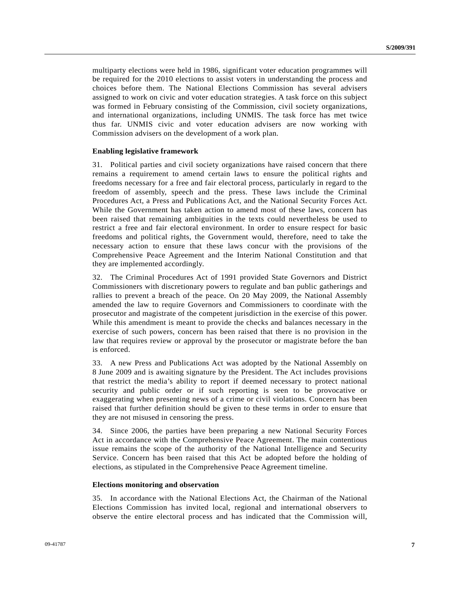multiparty elections were held in 1986, significant voter education programmes will be required for the 2010 elections to assist voters in understanding the process and choices before them. The National Elections Commission has several advisers assigned to work on civic and voter education strategies. A task force on this subject was formed in February consisting of the Commission, civil society organizations, and international organizations, including UNMIS. The task force has met twice thus far. UNMIS civic and voter education advisers are now working with Commission advisers on the development of a work plan.

#### **Enabling legislative framework**

31. Political parties and civil society organizations have raised concern that there remains a requirement to amend certain laws to ensure the political rights and freedoms necessary for a free and fair electoral process, particularly in regard to the freedom of assembly, speech and the press. These laws include the Criminal Procedures Act, a Press and Publications Act, and the National Security Forces Act. While the Government has taken action to amend most of these laws, concern has been raised that remaining ambiguities in the texts could nevertheless be used to restrict a free and fair electoral environment. In order to ensure respect for basic freedoms and political rights, the Government would, therefore, need to take the necessary action to ensure that these laws concur with the provisions of the Comprehensive Peace Agreement and the Interim National Constitution and that they are implemented accordingly.

32. The Criminal Procedures Act of 1991 provided State Governors and District Commissioners with discretionary powers to regulate and ban public gatherings and rallies to prevent a breach of the peace. On 20 May 2009, the National Assembly amended the law to require Governors and Commissioners to coordinate with the prosecutor and magistrate of the competent jurisdiction in the exercise of this power. While this amendment is meant to provide the checks and balances necessary in the exercise of such powers, concern has been raised that there is no provision in the law that requires review or approval by the prosecutor or magistrate before the ban is enforced.

33. A new Press and Publications Act was adopted by the National Assembly on 8 June 2009 and is awaiting signature by the President. The Act includes provisions that restrict the media's ability to report if deemed necessary to protect national security and public order or if such reporting is seen to be provocative or exaggerating when presenting news of a crime or civil violations. Concern has been raised that further definition should be given to these terms in order to ensure that they are not misused in censoring the press.

34. Since 2006, the parties have been preparing a new National Security Forces Act in accordance with the Comprehensive Peace Agreement. The main contentious issue remains the scope of the authority of the National Intelligence and Security Service. Concern has been raised that this Act be adopted before the holding of elections, as stipulated in the Comprehensive Peace Agreement timeline.

#### **Elections monitoring and observation**

35. In accordance with the National Elections Act, the Chairman of the National Elections Commission has invited local, regional and international observers to observe the entire electoral process and has indicated that the Commission will,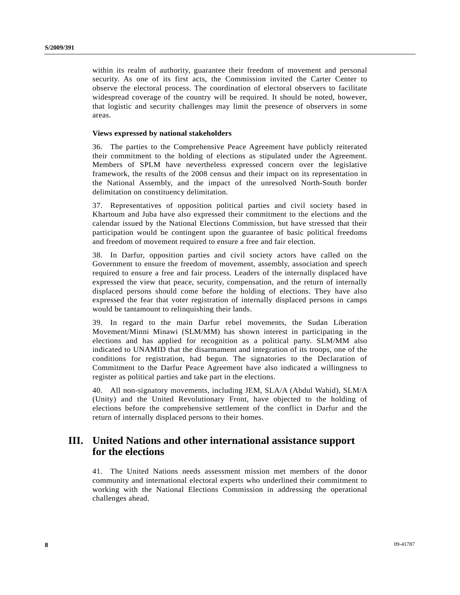within its realm of authority, guarantee their freedom of movement and personal security. As one of its first acts, the Commission invited the Carter Center to observe the electoral process. The coordination of electoral observers to facilitate widespread coverage of the country will be required. It should be noted, however, that logistic and security challenges may limit the presence of observers in some areas.

#### **Views expressed by national stakeholders**

36. The parties to the Comprehensive Peace Agreement have publicly reiterated their commitment to the holding of elections as stipulated under the Agreement. Members of SPLM have nevertheless expressed concern over the legislative framework, the results of the 2008 census and their impact on its representation in the National Assembly, and the impact of the unresolved North-South border delimitation on constituency delimitation.

37. Representatives of opposition political parties and civil society based in Khartoum and Juba have also expressed their commitment to the elections and the calendar issued by the National Elections Commission, but have stressed that their participation would be contingent upon the guarantee of basic political freedoms and freedom of movement required to ensure a free and fair election.

38. In Darfur, opposition parties and civil society actors have called on the Government to ensure the freedom of movement, assembly, association and speech required to ensure a free and fair process. Leaders of the internally displaced have expressed the view that peace, security, compensation, and the return of internally displaced persons should come before the holding of elections. They have also expressed the fear that voter registration of internally displaced persons in camps would be tantamount to relinquishing their lands.

39. In regard to the main Darfur rebel movements, the Sudan Liberation Movement/Minni Minawi (SLM/MM) has shown interest in participating in the elections and has applied for recognition as a political party. SLM/MM also indicated to UNAMID that the disarmament and integration of its troops, one of the conditions for registration, had begun. The signatories to the Declaration of Commitment to the Darfur Peace Agreement have also indicated a willingness to register as political parties and take part in the elections.

40. All non-signatory movements, including JEM, SLA/A (Abdul Wahid), SLM/A (Unity) and the United Revolutionary Front, have objected to the holding of elections before the comprehensive settlement of the conflict in Darfur and the return of internally displaced persons to their homes.

### **III. United Nations and other international assistance support for the elections**

41. The United Nations needs assessment mission met members of the donor community and international electoral experts who underlined their commitment to working with the National Elections Commission in addressing the operational challenges ahead.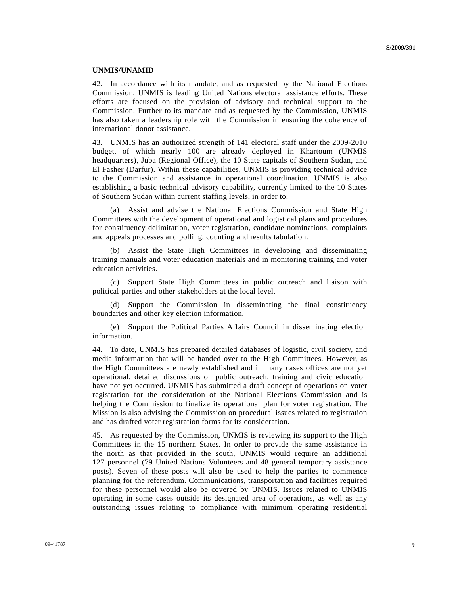### **UNMIS/UNAMID**

42. In accordance with its mandate, and as requested by the National Elections Commission, UNMIS is leading United Nations electoral assistance efforts. These efforts are focused on the provision of advisory and technical support to the Commission. Further to its mandate and as requested by the Commission, UNMIS has also taken a leadership role with the Commission in ensuring the coherence of international donor assistance.

43. UNMIS has an authorized strength of 141 electoral staff under the 2009-2010 budget, of which nearly 100 are already deployed in Khartoum (UNMIS headquarters), Juba (Regional Office), the 10 State capitals of Southern Sudan, and El Fasher (Darfur). Within these capabilities, UNMIS is providing technical advice to the Commission and assistance in operational coordination. UNMIS is also establishing a basic technical advisory capability, currently limited to the 10 States of Southern Sudan within current staffing levels, in order to:

 (a) Assist and advise the National Elections Commission and State High Committees with the development of operational and logistical plans and procedures for constituency delimitation, voter registration, candidate nominations, complaints and appeals processes and polling, counting and results tabulation.

 (b) Assist the State High Committees in developing and disseminating training manuals and voter education materials and in monitoring training and voter education activities.

 (c) Support State High Committees in public outreach and liaison with political parties and other stakeholders at the local level.

 (d) Support the Commission in disseminating the final constituency boundaries and other key election information.

 (e) Support the Political Parties Affairs Council in disseminating election information.

44. To date, UNMIS has prepared detailed databases of logistic, civil society, and media information that will be handed over to the High Committees. However, as the High Committees are newly established and in many cases offices are not yet operational, detailed discussions on public outreach, training and civic education have not yet occurred. UNMIS has submitted a draft concept of operations on voter registration for the consideration of the National Elections Commission and is helping the Commission to finalize its operational plan for voter registration. The Mission is also advising the Commission on procedural issues related to registration and has drafted voter registration forms for its consideration.

45. As requested by the Commission, UNMIS is reviewing its support to the High Committees in the 15 northern States. In order to provide the same assistance in the north as that provided in the south, UNMIS would require an additional 127 personnel (79 United Nations Volunteers and 48 general temporary assistance posts). Seven of these posts will also be used to help the parties to commence planning for the referendum. Communications, transportation and facilities required for these personnel would also be covered by UNMIS. Issues related to UNMIS operating in some cases outside its designated area of operations, as well as any outstanding issues relating to compliance with minimum operating residential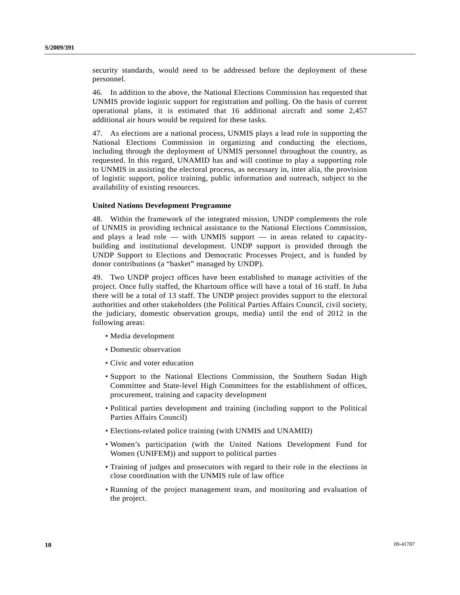security standards, would need to be addressed before the deployment of these personnel.

46. In addition to the above, the National Elections Commission has requested that UNMIS provide logistic support for registration and polling. On the basis of current operational plans, it is estimated that 16 additional aircraft and some 2,457 additional air hours would be required for these tasks.

47. As elections are a national process, UNMIS plays a lead role in supporting the National Elections Commission in organizing and conducting the elections, including through the deployment of UNMIS personnel throughout the country, as requested. In this regard, UNAMID has and will continue to play a supporting role to UNMIS in assisting the electoral process, as necessary in, inter alia, the provision of logistic support, police training, public information and outreach, subject to the availability of existing resources.

#### **United Nations Development Programme**

48. Within the framework of the integrated mission, UNDP complements the role of UNMIS in providing technical assistance to the National Elections Commission, and plays a lead role — with UNMIS support — in areas related to capacitybuilding and institutional development. UNDP support is provided through the UNDP Support to Elections and Democratic Processes Project, and is funded by donor contributions (a "basket" managed by UNDP).

49. Two UNDP project offices have been established to manage activities of the project. Once fully staffed, the Khartoum office will have a total of 16 staff. In Juba there will be a total of 13 staff. The UNDP project provides support to the electoral authorities and other stakeholders (the Political Parties Affairs Council, civil society, the judiciary, domestic observation groups, media) until the end of 2012 in the following areas:

- Media development
- Domestic observation
- Civic and voter education
- Support to the National Elections Commission, the Southern Sudan High Committee and State-level High Committees for the establishment of offices, procurement, training and capacity development
- Political parties development and training (including support to the Political Parties Affairs Council)
- Elections-related police training (with UNMIS and UNAMID)
- Women's participation (with the United Nations Development Fund for Women (UNIFEM)) and support to political parties
- Training of judges and prosecutors with regard to their role in the elections in close coordination with the UNMIS rule of law office
- Running of the project management team, and monitoring and evaluation of the project.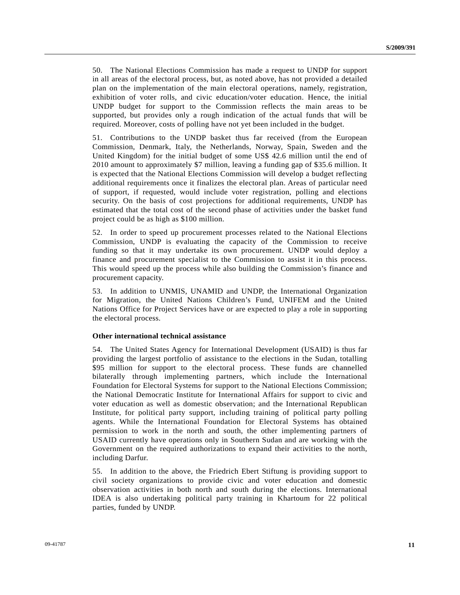50. The National Elections Commission has made a request to UNDP for support in all areas of the electoral process, but, as noted above, has not provided a detailed plan on the implementation of the main electoral operations, namely, registration, exhibition of voter rolls, and civic education/voter education. Hence, the initial UNDP budget for support to the Commission reflects the main areas to be supported, but provides only a rough indication of the actual funds that will be required. Moreover, costs of polling have not yet been included in the budget.

51. Contributions to the UNDP basket thus far received (from the European Commission, Denmark, Italy, the Netherlands, Norway, Spain, Sweden and the United Kingdom) for the initial budget of some US\$ 42.6 million until the end of 2010 amount to approximately \$7 million, leaving a funding gap of \$35.6 million. It is expected that the National Elections Commission will develop a budget reflecting additional requirements once it finalizes the electoral plan. Areas of particular need of support, if requested, would include voter registration, polling and elections security. On the basis of cost projections for additional requirements, UNDP has estimated that the total cost of the second phase of activities under the basket fund project could be as high as \$100 million.

52. In order to speed up procurement processes related to the National Elections Commission, UNDP is evaluating the capacity of the Commission to receive funding so that it may undertake its own procurement. UNDP would deploy a finance and procurement specialist to the Commission to assist it in this process. This would speed up the process while also building the Commission's finance and procurement capacity.

53. In addition to UNMIS, UNAMID and UNDP, the International Organization for Migration, the United Nations Children's Fund, UNIFEM and the United Nations Office for Project Services have or are expected to play a role in supporting the electoral process.

#### **Other international technical assistance**

54. The United States Agency for International Development (USAID) is thus far providing the largest portfolio of assistance to the elections in the Sudan, totalling \$95 million for support to the electoral process. These funds are channelled bilaterally through implementing partners, which include the International Foundation for Electoral Systems for support to the National Elections Commission; the National Democratic Institute for International Affairs for support to civic and voter education as well as domestic observation; and the International Republican Institute, for political party support, including training of political party polling agents. While the International Foundation for Electoral Systems has obtained permission to work in the north and south, the other implementing partners of USAID currently have operations only in Southern Sudan and are working with the Government on the required authorizations to expand their activities to the north, including Darfur.

55. In addition to the above, the Friedrich Ebert Stiftung is providing support to civil society organizations to provide civic and voter education and domestic observation activities in both north and south during the elections. International IDEA is also undertaking political party training in Khartoum for 22 political parties, funded by UNDP.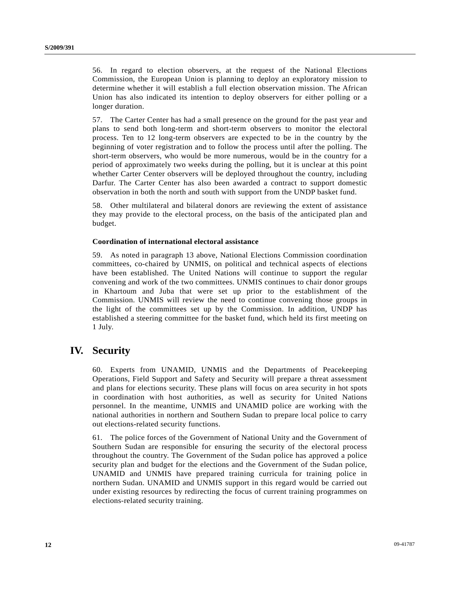56. In regard to election observers, at the request of the National Elections Commission, the European Union is planning to deploy an exploratory mission to determine whether it will establish a full election observation mission. The African Union has also indicated its intention to deploy observers for either polling or a longer duration.

57. The Carter Center has had a small presence on the ground for the past year and plans to send both long-term and short-term observers to monitor the electoral process. Ten to 12 long-term observers are expected to be in the country by the beginning of voter registration and to follow the process until after the polling. The short-term observers, who would be more numerous, would be in the country for a period of approximately two weeks during the polling, but it is unclear at this point whether Carter Center observers will be deployed throughout the country, including Darfur. The Carter Center has also been awarded a contract to support domestic observation in both the north and south with support from the UNDP basket fund.

58. Other multilateral and bilateral donors are reviewing the extent of assistance they may provide to the electoral process, on the basis of the anticipated plan and budget.

### **Coordination of international electoral assistance**

59. As noted in paragraph 13 above, National Elections Commission coordination committees, co-chaired by UNMIS, on political and technical aspects of elections have been established. The United Nations will continue to support the regular convening and work of the two committees. UNMIS continues to chair donor groups in Khartoum and Juba that were set up prior to the establishment of the Commission. UNMIS will review the need to continue convening those groups in the light of the committees set up by the Commission. In addition, UNDP has established a steering committee for the basket fund, which held its first meeting on 1 July.

## **IV. Security**

60. Experts from UNAMID, UNMIS and the Departments of Peacekeeping Operations, Field Support and Safety and Security will prepare a threat assessment and plans for elections security. These plans will focus on area security in hot spots in coordination with host authorities, as well as security for United Nations personnel. In the meantime, UNMIS and UNAMID police are working with the national authorities in northern and Southern Sudan to prepare local police to carry out elections-related security functions.

61. The police forces of the Government of National Unity and the Government of Southern Sudan are responsible for ensuring the security of the electoral process throughout the country. The Government of the Sudan police has approved a police security plan and budget for the elections and the Government of the Sudan police, UNAMID and UNMIS have prepared training curricula for training police in northern Sudan. UNAMID and UNMIS support in this regard would be carried out under existing resources by redirecting the focus of current training programmes on elections-related security training.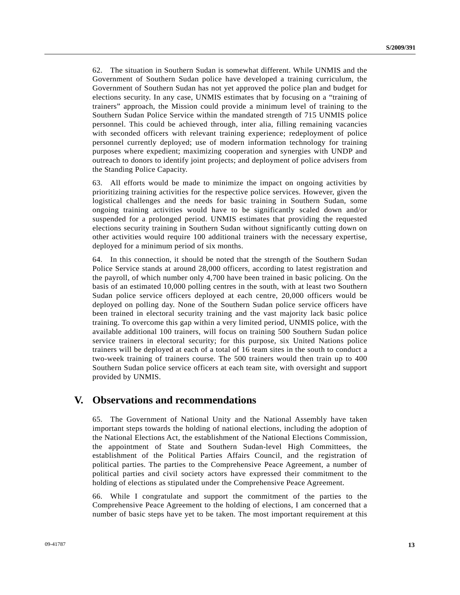62. The situation in Southern Sudan is somewhat different. While UNMIS and the Government of Southern Sudan police have developed a training curriculum, the Government of Southern Sudan has not yet approved the police plan and budget for elections security. In any case, UNMIS estimates that by focusing on a "training of trainers" approach, the Mission could provide a minimum level of training to the Southern Sudan Police Service within the mandated strength of 715 UNMIS police personnel. This could be achieved through, inter alia, filling remaining vacancies with seconded officers with relevant training experience; redeployment of police personnel currently deployed; use of modern information technology for training purposes where expedient; maximizing cooperation and synergies with UNDP and outreach to donors to identify joint projects; and deployment of police advisers from the Standing Police Capacity.

63. All efforts would be made to minimize the impact on ongoing activities by prioritizing training activities for the respective police services. However, given the logistical challenges and the needs for basic training in Southern Sudan, some ongoing training activities would have to be significantly scaled down and/or suspended for a prolonged period. UNMIS estimates that providing the requested elections security training in Southern Sudan without significantly cutting down on other activities would require 100 additional trainers with the necessary expertise, deployed for a minimum period of six months.

64. In this connection, it should be noted that the strength of the Southern Sudan Police Service stands at around 28,000 officers, according to latest registration and the payroll, of which number only 4,700 have been trained in basic policing. On the basis of an estimated 10,000 polling centres in the south, with at least two Southern Sudan police service officers deployed at each centre, 20,000 officers would be deployed on polling day. None of the Southern Sudan police service officers have been trained in electoral security training and the vast majority lack basic police training. To overcome this gap within a very limited period, UNMIS police, with the available additional 100 trainers, will focus on training 500 Southern Sudan police service trainers in electoral security; for this purpose, six United Nations police trainers will be deployed at each of a total of 16 team sites in the south to conduct a two-week training of trainers course. The 500 trainers would then train up to 400 Southern Sudan police service officers at each team site, with oversight and support provided by UNMIS.

### **V. Observations and recommendations**

65. The Government of National Unity and the National Assembly have taken important steps towards the holding of national elections, including the adoption of the National Elections Act, the establishment of the National Elections Commission, the appointment of State and Southern Sudan-level High Committees, the establishment of the Political Parties Affairs Council, and the registration of political parties. The parties to the Comprehensive Peace Agreement, a number of political parties and civil society actors have expressed their commitment to the holding of elections as stipulated under the Comprehensive Peace Agreement.

66. While I congratulate and support the commitment of the parties to the Comprehensive Peace Agreement to the holding of elections, I am concerned that a number of basic steps have yet to be taken. The most important requirement at this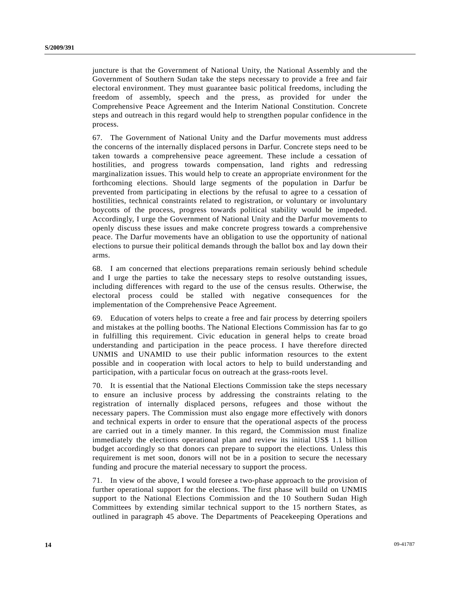juncture is that the Government of National Unity, the National Assembly and the Government of Southern Sudan take the steps necessary to provide a free and fair electoral environment. They must guarantee basic political freedoms, including the freedom of assembly, speech and the press, as provided for under the Comprehensive Peace Agreement and the Interim National Constitution. Concrete steps and outreach in this regard would help to strengthen popular confidence in the process.

67. The Government of National Unity and the Darfur movements must address the concerns of the internally displaced persons in Darfur. Concrete steps need to be taken towards a comprehensive peace agreement. These include a cessation of hostilities, and progress towards compensation, land rights and redressing marginalization issues. This would help to create an appropriate environment for the forthcoming elections. Should large segments of the population in Darfur be prevented from participating in elections by the refusal to agree to a cessation of hostilities, technical constraints related to registration, or voluntary or involuntary boycotts of the process, progress towards political stability would be impeded. Accordingly, I urge the Government of National Unity and the Darfur movements to openly discuss these issues and make concrete progress towards a comprehensive peace. The Darfur movements have an obligation to use the opportunity of national elections to pursue their political demands through the ballot box and lay down their arms.

68. I am concerned that elections preparations remain seriously behind schedule and I urge the parties to take the necessary steps to resolve outstanding issues, including differences with regard to the use of the census results. Otherwise, the electoral process could be stalled with negative consequences for the implementation of the Comprehensive Peace Agreement.

69. Education of voters helps to create a free and fair process by deterring spoilers and mistakes at the polling booths. The National Elections Commission has far to go in fulfilling this requirement. Civic education in general helps to create broad understanding and participation in the peace process. I have therefore directed UNMIS and UNAMID to use their public information resources to the extent possible and in cooperation with local actors to help to build understanding and participation, with a particular focus on outreach at the grass-roots level.

70. It is essential that the National Elections Commission take the steps necessary to ensure an inclusive process by addressing the constraints relating to the registration of internally displaced persons, refugees and those without the necessary papers. The Commission must also engage more effectively with donors and technical experts in order to ensure that the operational aspects of the process are carried out in a timely manner. In this regard, the Commission must finalize immediately the elections operational plan and review its initial US\$ 1.1 billion budget accordingly so that donors can prepare to support the elections. Unless this requirement is met soon, donors will not be in a position to secure the necessary funding and procure the material necessary to support the process.

71. In view of the above, I would foresee a two-phase approach to the provision of further operational support for the elections. The first phase will build on UNMIS support to the National Elections Commission and the 10 Southern Sudan High Committees by extending similar technical support to the 15 northern States, as outlined in paragraph 45 above. The Departments of Peacekeeping Operations and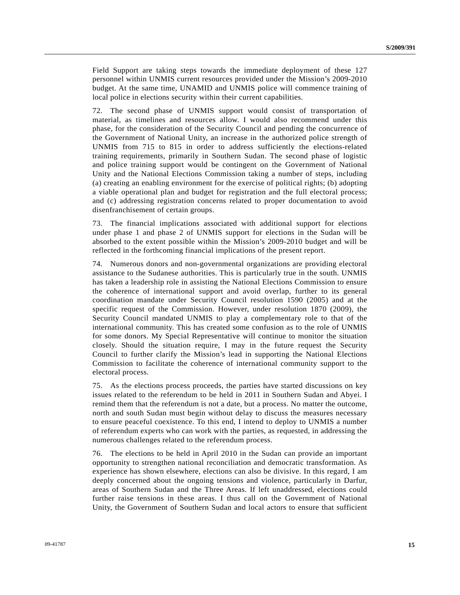Field Support are taking steps towards the immediate deployment of these 127 personnel within UNMIS current resources provided under the Mission's 2009-2010 budget. At the same time, UNAMID and UNMIS police will commence training of local police in elections security within their current capabilities.

72. The second phase of UNMIS support would consist of transportation of material, as timelines and resources allow. I would also recommend under this phase, for the consideration of the Security Council and pending the concurrence of the Government of National Unity, an increase in the authorized police strength of UNMIS from 715 to 815 in order to address sufficiently the elections-related training requirements, primarily in Southern Sudan. The second phase of logistic and police training support would be contingent on the Government of National Unity and the National Elections Commission taking a number of steps, including (a) creating an enabling environment for the exercise of political rights; (b) adopting a viable operational plan and budget for registration and the full electoral process; and (c) addressing registration concerns related to proper documentation to avoid disenfranchisement of certain groups.

73. The financial implications associated with additional support for elections under phase 1 and phase 2 of UNMIS support for elections in the Sudan will be absorbed to the extent possible within the Mission's 2009-2010 budget and will be reflected in the forthcoming financial implications of the present report.

74. Numerous donors and non-governmental organizations are providing electoral assistance to the Sudanese authorities. This is particularly true in the south. UNMIS has taken a leadership role in assisting the National Elections Commission to ensure the coherence of international support and avoid overlap, further to its general coordination mandate under Security Council resolution 1590 (2005) and at the specific request of the Commission. However, under resolution 1870 (2009), the Security Council mandated UNMIS to play a complementary role to that of the international community. This has created some confusion as to the role of UNMIS for some donors. My Special Representative will continue to monitor the situation closely. Should the situation require, I may in the future request the Security Council to further clarify the Mission's lead in supporting the National Elections Commission to facilitate the coherence of international community support to the electoral process.

75. As the elections process proceeds, the parties have started discussions on key issues related to the referendum to be held in 2011 in Southern Sudan and Abyei. I remind them that the referendum is not a date, but a process. No matter the outcome, north and south Sudan must begin without delay to discuss the measures necessary to ensure peaceful coexistence. To this end, I intend to deploy to UNMIS a number of referendum experts who can work with the parties, as requested, in addressing the numerous challenges related to the referendum process.

76. The elections to be held in April 2010 in the Sudan can provide an important opportunity to strengthen national reconciliation and democratic transformation. As experience has shown elsewhere, elections can also be divisive. In this regard, I am deeply concerned about the ongoing tensions and violence, particularly in Darfur, areas of Southern Sudan and the Three Areas. If left unaddressed, elections could further raise tensions in these areas. I thus call on the Government of National Unity, the Government of Southern Sudan and local actors to ensure that sufficient